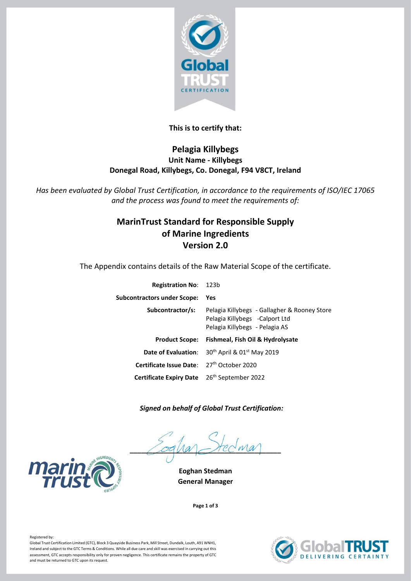

## **This is to certify that:**

## **Pelagia Killybegs Unit Name - Killybegs Donegal Road, Killybegs, Co. Donegal, F94 V8CT, Ireland**

*Has been evaluated by Global Trust Certification, in accordance to the requirements of ISO/IEC 17065 and the process was found to meet the requirements of:*

# **MarinTrust Standard for Responsible Supply of Marine Ingredients Version 2.0**

The Appendix contains details of the Raw Material Scope of the certificate.

| <b>Registration No: 123b</b>       |                                                                                                                   |
|------------------------------------|-------------------------------------------------------------------------------------------------------------------|
| <b>Subcontractors under Scope:</b> | Yes                                                                                                               |
| Subcontractor/s:                   | Pelagia Killybegs - Gallagher & Rooney Store<br>Pelagia Killybegs - Calport Ltd<br>Pelagia Killybegs - Pelagia AS |
| <b>Product Scope:</b>              | <b>Fishmeal, Fish Oil &amp; Hydrolysate</b>                                                                       |
| Date of Evaluation:                | $30^{th}$ April & 01st May 2019                                                                                   |
| <b>Certificate Issue Date:</b>     | 27 <sup>th</sup> October 2020                                                                                     |
| <b>Certificate Expiry Date</b>     | 26 <sup>th</sup> September 2022                                                                                   |

 *Signed on behalf of Global Trust Certification:*

 $\angle$ oqua $\angle$ rec $w$ a



**Eoghan Stedman General Manager**

**Page 1 of 3**



Registered by:

Global Trust Certification Limited (GTC), Block 3 Quayside Business Park, Mill Street, Dundalk, Louth, A91 WNH1, Ireland and subject to the GTC Terms & Conditions. While all due care and skill was exercised in carrying out this assessment, GTC accepts responsibility only for proven negligence. This certificate remains the property of GTC and must be returned to GTC upon its request.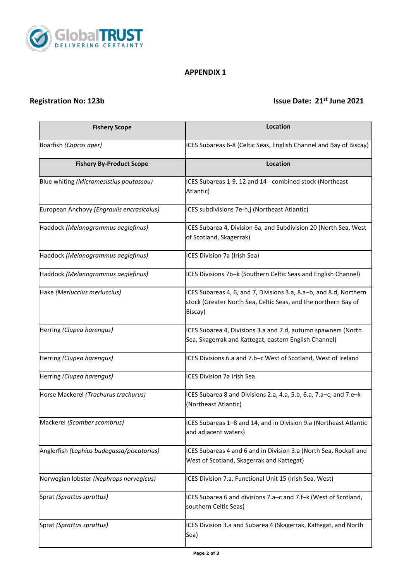

### **APPENDIX 1**

# **Registration No: 123b Issue Date: 21<sup>st</sup> June 2021**

| <b>Fishery Scope</b>                       | Location                                                                                                                                        |
|--------------------------------------------|-------------------------------------------------------------------------------------------------------------------------------------------------|
| Boarfish (Capros aper)                     | ICES Subareas 6-8 (Celtic Seas, English Channel and Bay of Biscay)                                                                              |
| <b>Fishery By-Product Scope</b>            | <b>Location</b>                                                                                                                                 |
| Blue whiting (Micromesistius poutassou)    | ICES Subareas 1-9, 12 and 14 - combined stock (Northeast<br>Atlantic)                                                                           |
| European Anchovy (Engraulis encrasicolus)  | ICES subdivisions 7e-h,j (Northeast Atlantic)                                                                                                   |
| Haddock (Melanogrammus aeglefinus)         | ICES Subarea 4, Division 6a, and Subdivision 20 (North Sea, West<br>of Scotland, Skagerrak)                                                     |
| Haddock (Melanogrammus aeglefinus)         | ICES Division 7a (Irish Sea)                                                                                                                    |
| Haddock (Melanogrammus aeglefinus)         | ICES Divisions 7b-k (Southern Celtic Seas and English Channel)                                                                                  |
| Hake (Merluccius merluccius)               | ICES Subareas 4, 6, and 7, Divisions 3.a, 8.a-b, and 8.d, Northern<br>stock (Greater North Sea, Celtic Seas, and the northern Bay of<br>Biscay) |
| Herring (Clupea harengus)                  | ICES Subarea 4, Divisions 3.a and 7.d, autumn spawners (North<br>Sea, Skagerrak and Kattegat, eastern English Channel)                          |
| Herring (Clupea harengus)                  | ICES Divisions 6.a and 7.b-c West of Scotland, West of Ireland                                                                                  |
| Herring (Clupea harengus)                  | ICES Division 7a Irish Sea                                                                                                                      |
| Horse Mackerel (Trachurus trachurus)       | ICES Subarea 8 and Divisions 2.a, 4.a, 5.b, 6.a, 7.a–c, and 7.e–k<br>(Northeast Atlantic)                                                       |
| Mackerel (Scomber scombrus)                | ICES Subareas 1-8 and 14, and in Division 9.a (Northeast Atlantic<br>and adjacent waters)                                                       |
| Anglerfish (Lophius budegassa/piscatorius) | ICES Subareas 4 and 6 and in Division 3.a (North Sea, Rockall and<br>West of Scotland, Skagerrak and Kattegat)                                  |
| Norwegian lobster (Nephrops norvegicus)    | ICES Division 7.a, Functional Unit 15 (Irish Sea, West)                                                                                         |
| Sprat (Sprattus sprattus)                  | ICES Subarea 6 and divisions 7.a–c and 7.f–k (West of Scotland,<br>southern Celtic Seas)                                                        |
| Sprat (Sprattus sprattus)                  | ICES Division 3.a and Subarea 4 (Skagerrak, Kattegat, and North<br> Sea)                                                                        |